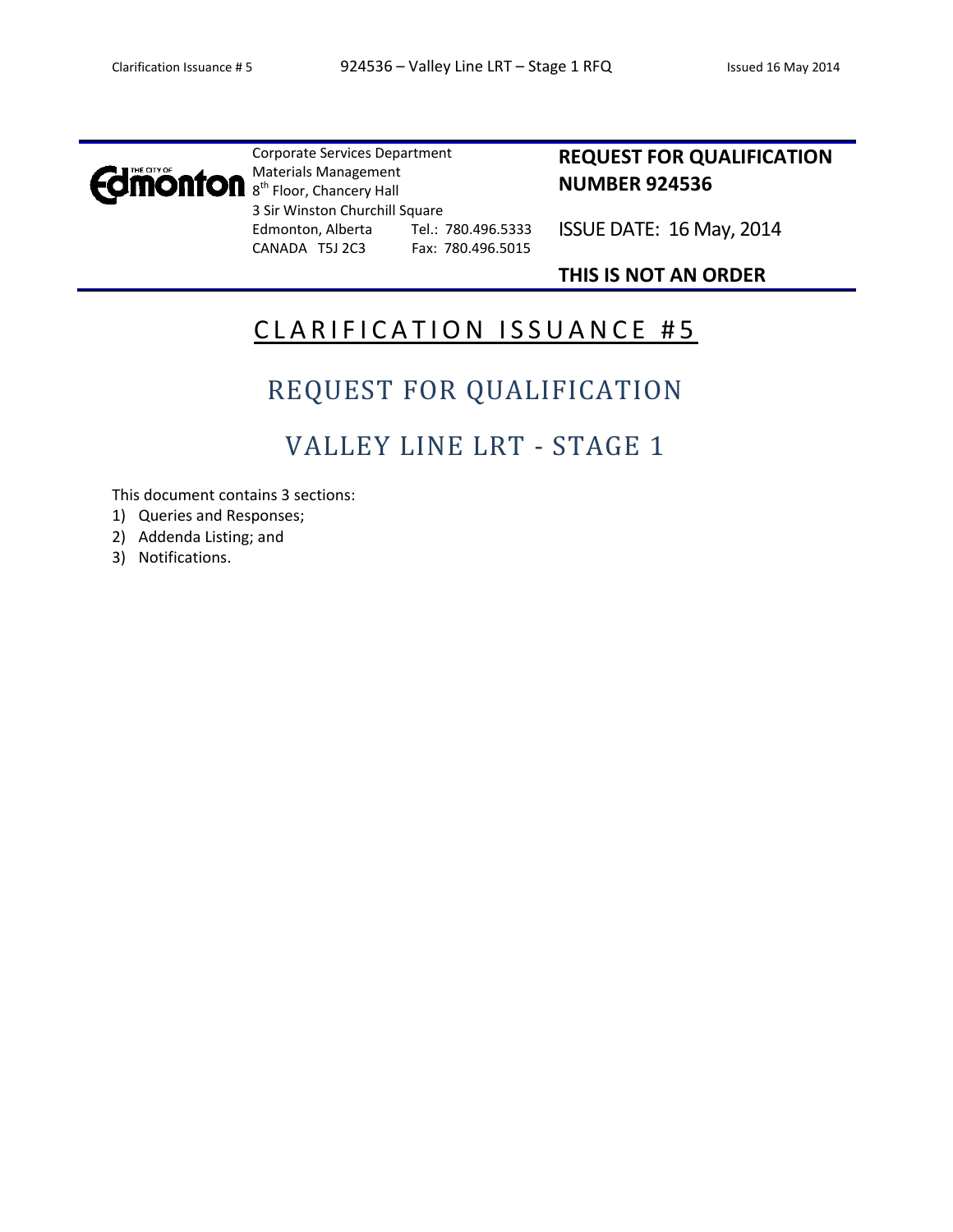

Corporate Services Department Materials Management 8<sup>th</sup> Floor, Chancery Hall 3 Sir Winston Churchill Square Edmonton, Alberta Tel.: 780.496.5333 CANADA T5J 2C3 Fax: 780.496.5015

### **REQUEST FOR QUALIFICATION NUMBER 924536**

ISSUE DATE: 16 May, 2014

### **THIS IS NOT AN ORDER**

## CLARIFICATION ISSUANCE #5

# REQUEST FOR QUALIFICATION

## VALLEY LINE LRT - STAGE 1

This document contains 3 sections:

- 1) Queries and Responses;
- 2) Addenda Listing; and
- 3) Notifications.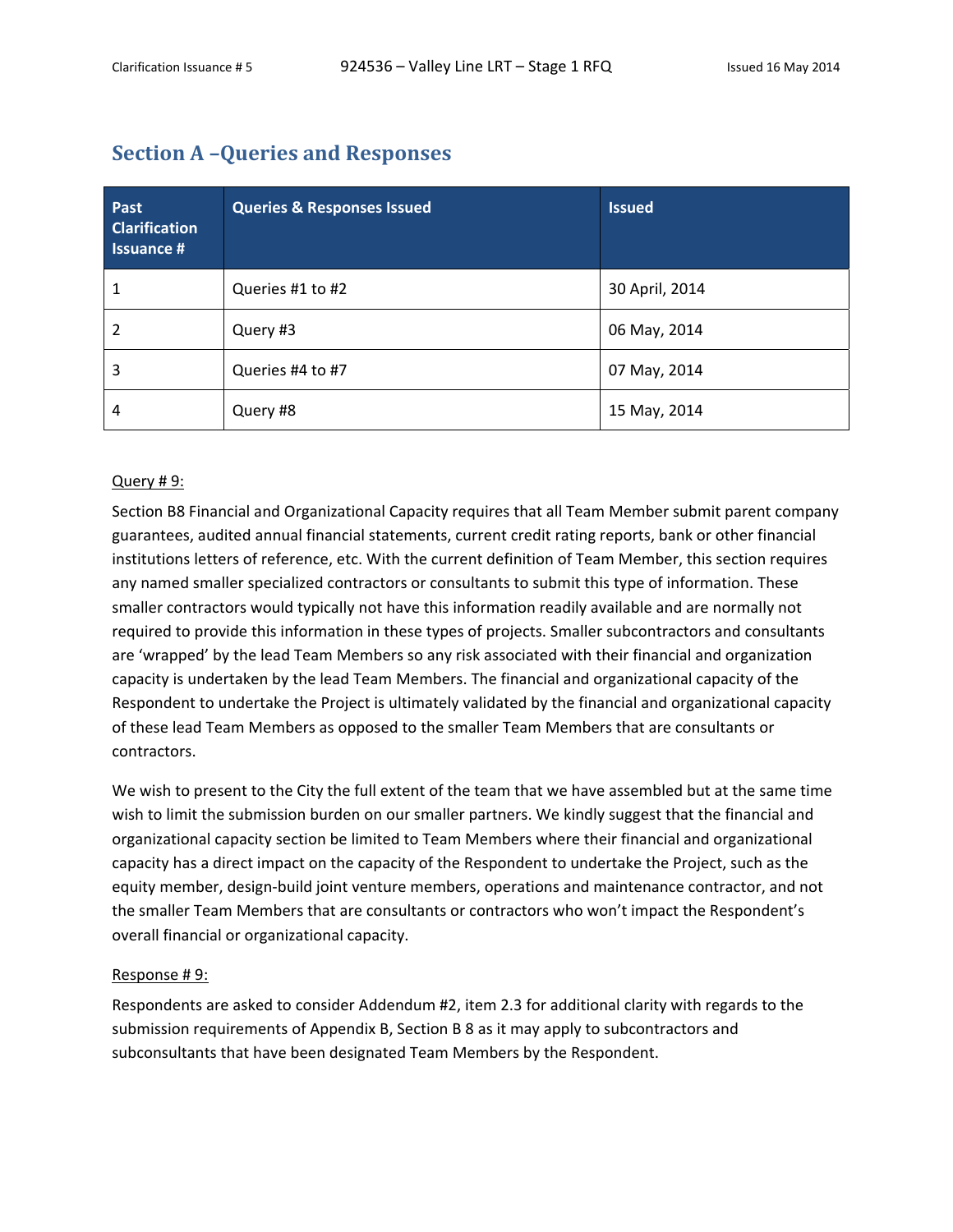### **Section A –Queries and Responses**

| Past<br><b>Clarification</b><br><b>Issuance #</b> | <b>Queries &amp; Responses Issued</b> | <b>Issued</b>  |
|---------------------------------------------------|---------------------------------------|----------------|
| 1                                                 | Queries #1 to #2                      | 30 April, 2014 |
| $\overline{2}$                                    | Query #3                              | 06 May, 2014   |
| 3                                                 | Queries #4 to #7                      | 07 May, 2014   |
| 4                                                 | Query #8                              | 15 May, 2014   |

#### Query # 9:

Section B8 Financial and Organizational Capacity requires that all Team Member submit parent company guarantees, audited annual financial statements, current credit rating reports, bank or other financial institutions letters of reference, etc. With the current definition of Team Member, this section requires any named smaller specialized contractors or consultants to submit this type of information. These smaller contractors would typically not have this information readily available and are normally not required to provide this information in these types of projects. Smaller subcontractors and consultants are 'wrapped' by the lead Team Members so any risk associated with their financial and organization capacity is undertaken by the lead Team Members. The financial and organizational capacity of the Respondent to undertake the Project is ultimately validated by the financial and organizational capacity of these lead Team Members as opposed to the smaller Team Members that are consultants or contractors.

We wish to present to the City the full extent of the team that we have assembled but at the same time wish to limit the submission burden on our smaller partners. We kindly suggest that the financial and organizational capacity section be limited to Team Members where their financial and organizational capacity has a direct impact on the capacity of the Respondent to undertake the Project, such as the equity member, design-build joint venture members, operations and maintenance contractor, and not the smaller Team Members that are consultants or contractors who won't impact the Respondent's overall financial or organizational capacity.

#### Response # 9:

Respondents are asked to consider Addendum #2, item 2.3 for additional clarity with regards to the submission requirements of Appendix B, Section B 8 as it may apply to subcontractors and subconsultants that have been designated Team Members by the Respondent.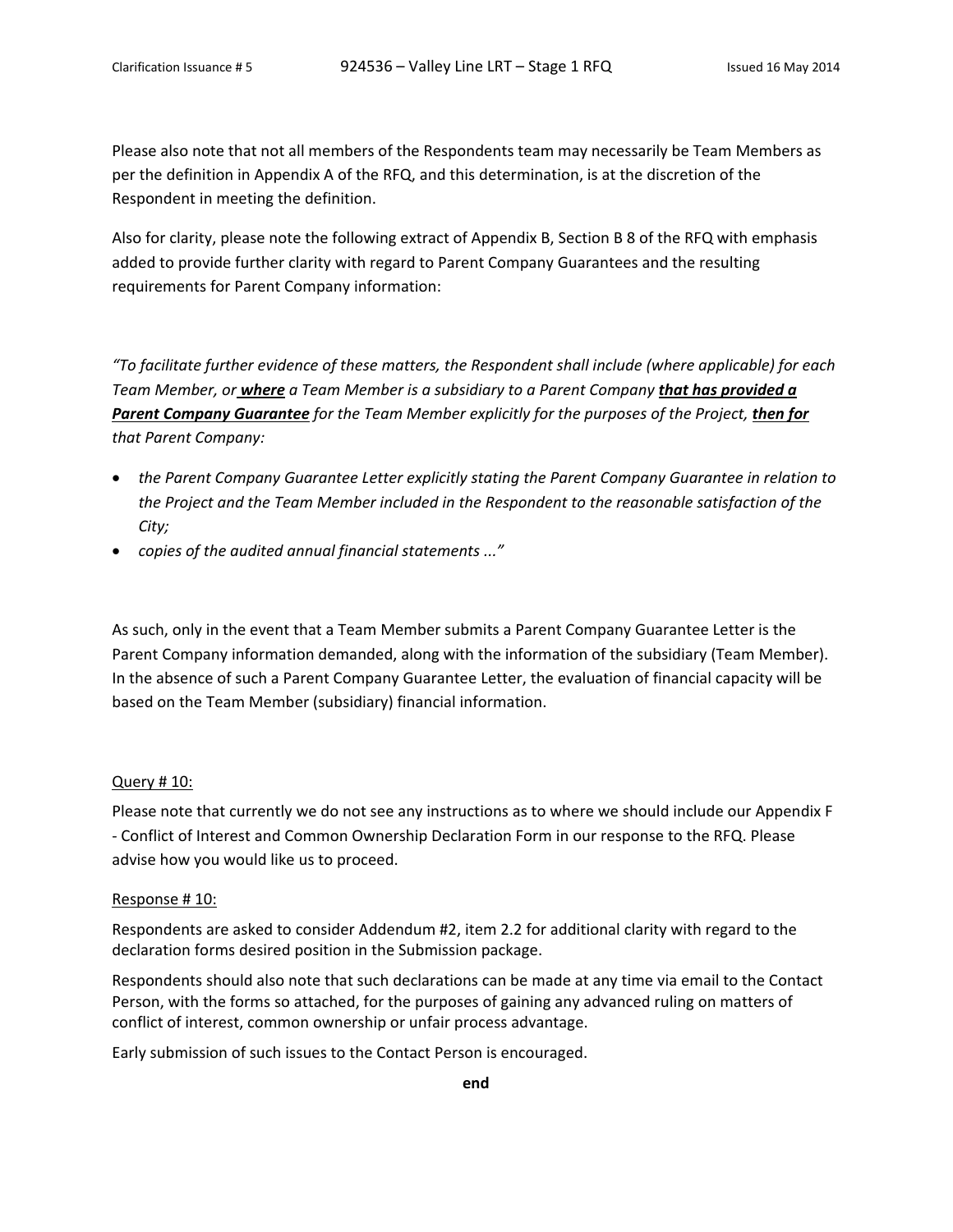Please also note that not all members of the Respondents team may necessarily be Team Members as per the definition in Appendix A of the RFQ, and this determination, is at the discretion of the Respondent in meeting the definition.

Also for clarity, please note the following extract of Appendix B, Section B 8 of the RFQ with emphasis added to provide further clarity with regard to Parent Company Guarantees and the resulting requirements for Parent Company information:

*"To facilitate further evidence of these matters, the Respondent shall include (where applicable) for each Team Member, or where a Team Member is a subsidiary to a Parent Company that has provided a Parent Company Guarantee for the Team Member explicitly for the purposes of the Project, then for that Parent Company:*

- *the Parent Company Guarantee Letter explicitly stating the Parent Company Guarantee in relation to the Project and the Team Member included in the Respondent to the reasonable satisfaction of the City;*
- *copies of the audited annual financial statements ..."*

As such, only in the event that a Team Member submits a Parent Company Guarantee Letter is the Parent Company information demanded, along with the information of the subsidiary (Team Member). In the absence of such a Parent Company Guarantee Letter, the evaluation of financial capacity will be based on the Team Member (subsidiary) financial information.

#### Query # 10:

Please note that currently we do not see any instructions as to where we should include our Appendix F ‐ Conflict of Interest and Common Ownership Declaration Form in our response to the RFQ. Please advise how you would like us to proceed.

#### Response # 10:

Respondents are asked to consider Addendum #2, item 2.2 for additional clarity with regard to the declaration forms desired position in the Submission package.

Respondents should also note that such declarations can be made at any time via email to the Contact Person, with the forms so attached, for the purposes of gaining any advanced ruling on matters of conflict of interest, common ownership or unfair process advantage.

Early submission of such issues to the Contact Person is encouraged.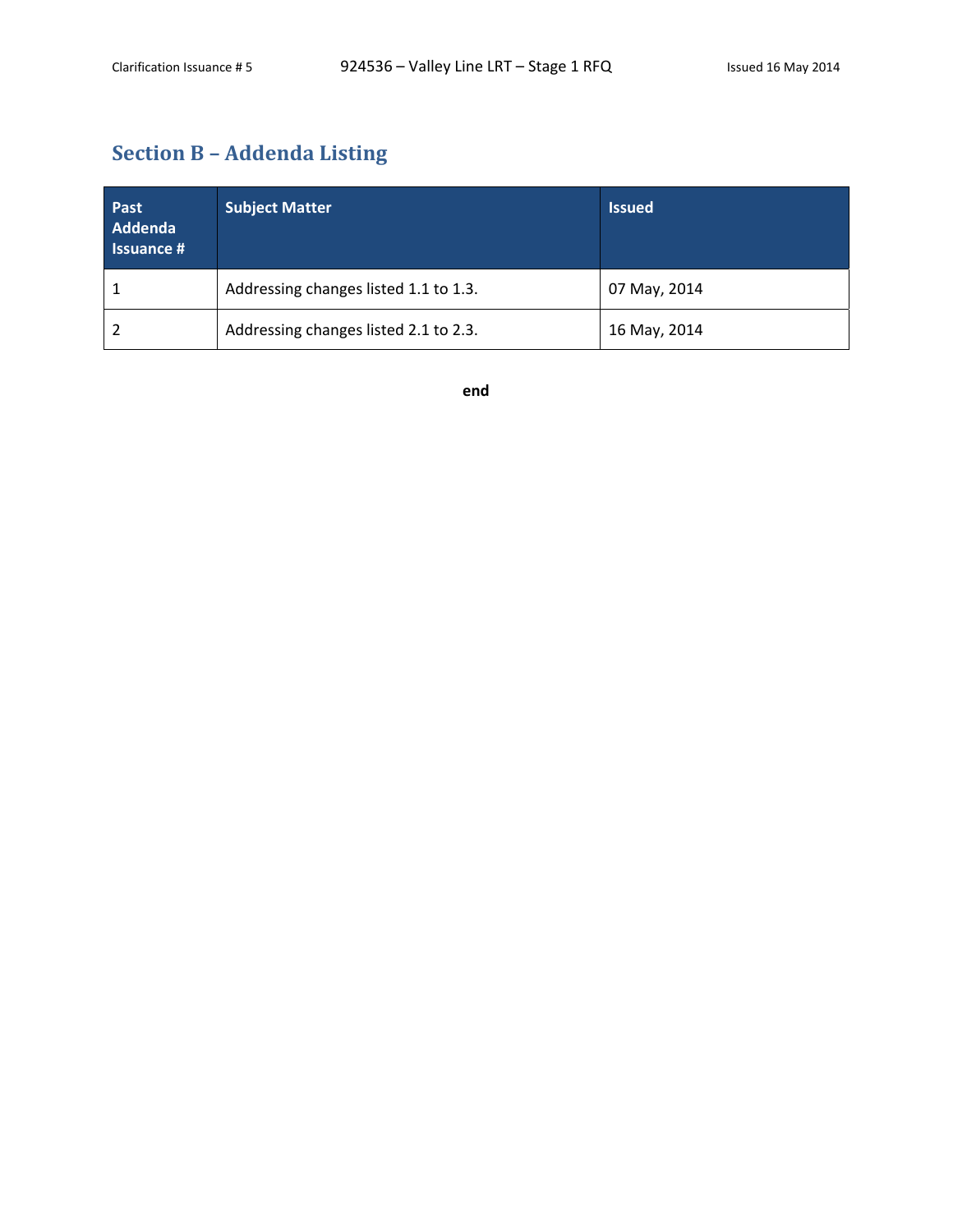## **Section B – Addenda Listing**

| Past<br>Addenda<br><b>Issuance #</b> | <b>Subject Matter</b>                 | <b>Issued</b> |
|--------------------------------------|---------------------------------------|---------------|
|                                      | Addressing changes listed 1.1 to 1.3. | 07 May, 2014  |
|                                      | Addressing changes listed 2.1 to 2.3. | 16 May, 2014  |

**end**